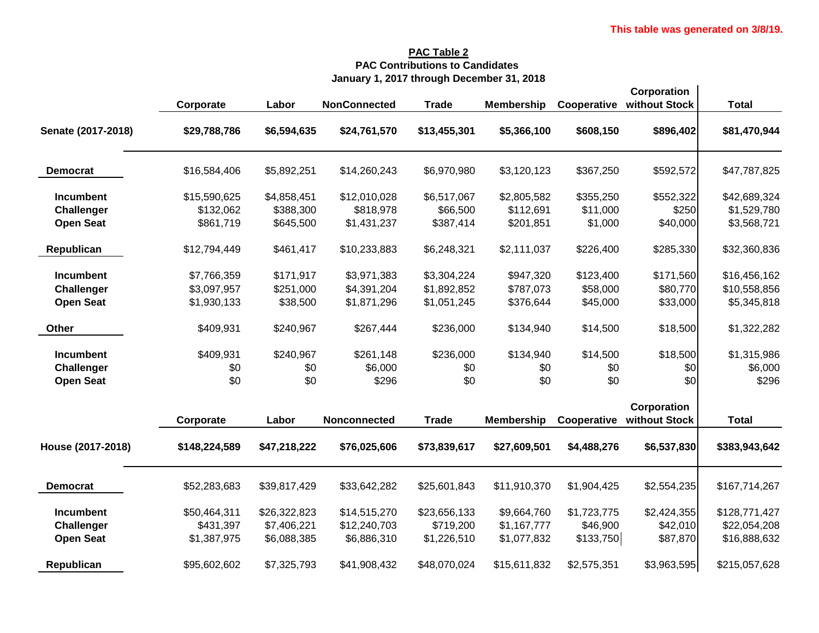## **PAC Table 2 PAC Contributions to Candidates January 1, 2017 through December 31, 2018**

|                    |               |              |                     |              |                   |             | Corporation   |               |
|--------------------|---------------|--------------|---------------------|--------------|-------------------|-------------|---------------|---------------|
|                    | Corporate     | Labor        | <b>NonConnected</b> | <b>Trade</b> | <b>Membership</b> | Cooperative | without Stock | <b>Total</b>  |
| Senate (2017-2018) | \$29,788,786  | \$6,594,635  | \$24,761,570        | \$13,455,301 | \$5,366,100       | \$608,150   | \$896,402     | \$81,470,944  |
| <b>Democrat</b>    | \$16,584,406  | \$5,892,251  | \$14,260,243        | \$6,970,980  | \$3,120,123       | \$367,250   | \$592,572     | \$47,787,825  |
| Incumbent          | \$15,590,625  | \$4,858,451  | \$12,010,028        | \$6,517,067  | \$2,805,582       | \$355,250   | \$552,322     | \$42,689,324  |
| <b>Challenger</b>  | \$132,062     | \$388,300    | \$818,978           | \$66,500     | \$112,691         | \$11,000    | \$250         | \$1,529,780   |
| <b>Open Seat</b>   | \$861,719     | \$645,500    | \$1,431,237         | \$387,414    | \$201,851         | \$1,000     | \$40,000      | \$3,568,721   |
| Republican         | \$12,794,449  | \$461,417    | \$10,233,883        | \$6,248,321  | \$2,111,037       | \$226,400   | \$285,330     | \$32,360,836  |
| <b>Incumbent</b>   | \$7,766,359   | \$171,917    | \$3,971,383         | \$3,304,224  | \$947,320         | \$123,400   | \$171,560     | \$16,456,162  |
| <b>Challenger</b>  | \$3,097,957   | \$251,000    | \$4,391,204         | \$1,892,852  | \$787,073         | \$58,000    | \$80,770      | \$10,558,856  |
| <b>Open Seat</b>   | \$1,930,133   | \$38,500     | \$1,871,296         | \$1,051,245  | \$376,644         | \$45,000    | \$33,000      | \$5,345,818   |
| <b>Other</b>       | \$409,931     | \$240,967    | \$267,444           | \$236,000    | \$134,940         | \$14,500    | \$18,500      | \$1,322,282   |
| <b>Incumbent</b>   | \$409,931     | \$240,967    | \$261,148           | \$236,000    | \$134,940         | \$14,500    | \$18,500      | \$1,315,986   |
| <b>Challenger</b>  | \$0           | \$0          | \$6,000             | \$0          | \$0               | \$0         | \$0           | \$6,000       |
| <b>Open Seat</b>   | \$0           | \$0          | \$296               | \$0          | \$0               | \$0         | \$0           | \$296         |
|                    |               |              |                     |              |                   |             | Corporation   |               |
|                    | Corporate     | Labor        | Nonconnected        | <b>Trade</b> | <b>Membership</b> | Cooperative | without Stock | <b>Total</b>  |
| House (2017-2018)  | \$148,224,589 | \$47,218,222 | \$76,025,606        | \$73,839,617 | \$27,609,501      | \$4,488,276 | \$6,537,830   | \$383,943,642 |
| <b>Democrat</b>    | \$52,283,683  | \$39,817,429 | \$33,642,282        | \$25,601,843 | \$11,910,370      | \$1,904,425 | \$2,554,235   | \$167,714,267 |
| <b>Incumbent</b>   | \$50,464,311  | \$26,322,823 | \$14,515,270        | \$23,656,133 | \$9,664,760       | \$1,723,775 | \$2,424,355   | \$128,771,427 |
| <b>Challenger</b>  | \$431,397     | \$7,406,221  | \$12,240,703        | \$719,200    | \$1,167,777       | \$46,900    | \$42,010      | \$22,054,208  |
| <b>Open Seat</b>   | \$1,387,975   | \$6,088,385  | \$6,886,310         | \$1,226,510  | \$1,077,832       | \$133,750   | \$87,870      | \$16,888,632  |
| Republican         | \$95,602,602  | \$7,325,793  | \$41,908,432        | \$48,070,024 | \$15,611,832      | \$2,575,351 | \$3,963,595   | \$215,057,628 |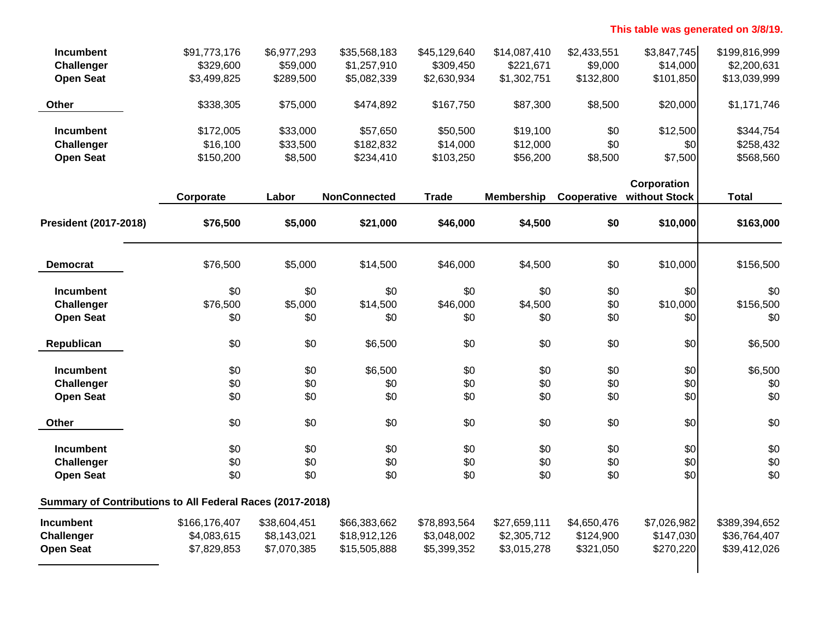## **This table was generated on 3/8/19.**

| <b>Incumbent</b>  | \$91,773,176 | \$6,977,293 | \$35,568,183 | \$45,129,640 | \$14,087,410 | \$2,433,551 | \$3,847,745 | \$199,816,999 |
|-------------------|--------------|-------------|--------------|--------------|--------------|-------------|-------------|---------------|
| <b>Challenger</b> | \$329,600    | \$59,000    | \$1,257,910  | \$309,450    | \$221,671    | \$9,000     | \$14,000    | \$2,200,631   |
| <b>Open Seat</b>  | \$3,499,825  | \$289,500   | \$5,082,339  | \$2,630,934  | \$1,302,751  | \$132,800   | \$101,850   | \$13,039,999  |
| <b>Other</b>      | \$338,305    | \$75,000    | \$474,892    | \$167,750    | \$87,300     | \$8,500     | \$20,000    | \$1,171,746   |
| <b>Incumbent</b>  | \$172,005    | \$33,000    | \$57.650     | \$50,500     | \$19,100     | \$0         | \$12,500    | \$344,754     |
| <b>Challenger</b> | \$16,100     | \$33,500    | \$182,832    | \$14,000     | \$12,000     | \$0         | \$0         | \$258,432     |
| <b>Open Seat</b>  | \$150,200    | \$8,500     | \$234.410    | \$103,250    | \$56,200     | \$8,500     | \$7,500     | \$568,560     |

|                                                           |               |              |                     |              |                   |             | Corporation   |               |
|-----------------------------------------------------------|---------------|--------------|---------------------|--------------|-------------------|-------------|---------------|---------------|
|                                                           | Corporate     | Labor        | <b>NonConnected</b> | <b>Trade</b> | <b>Membership</b> | Cooperative | without Stock | <b>Total</b>  |
| <b>President (2017-2018)</b>                              | \$76,500      | \$5,000      | \$21,000            | \$46,000     | \$4,500           | \$0         | \$10,000      | \$163,000     |
| <b>Democrat</b>                                           | \$76,500      | \$5,000      | \$14,500            | \$46,000     | \$4,500           | \$0         | \$10,000      | \$156,500     |
| <b>Incumbent</b>                                          | \$0           | \$0          | \$0                 | \$0          | \$0               | \$0         | \$0           | \$0           |
| <b>Challenger</b>                                         | \$76,500      | \$5,000      | \$14,500            | \$46,000     | \$4,500           | \$0         | \$10,000      | \$156,500     |
| <b>Open Seat</b>                                          | \$0           | \$0          | \$0                 | \$0          | \$0               | \$0         | \$0           | \$0           |
| Republican                                                | \$0           | \$0          | \$6,500             | \$0          | \$0               | \$0         | \$0           | \$6,500       |
| Incumbent                                                 | \$0           | \$0          | \$6,500             | \$0          | \$0               | \$0         | \$0           | \$6,500       |
| <b>Challenger</b>                                         | \$0           | \$0          | \$0                 | \$0          | \$0               | \$0         | \$0           | \$0           |
| <b>Open Seat</b>                                          | \$0           | \$0          | \$0                 | \$0          | \$0               | \$0         | \$0           | \$0           |
| Other                                                     | \$0           | \$0          | \$0                 | \$0          | \$0               | \$0         | \$0           | \$0           |
| <b>Incumbent</b>                                          | \$0           | \$0          | \$0                 | \$0          | \$0               | \$0         | \$0           | \$0           |
| <b>Challenger</b>                                         | \$0           | \$0          | \$0                 | \$0          | \$0               | \$0         | \$0           | \$0           |
| <b>Open Seat</b>                                          | \$0           | \$0          | \$0                 | \$0          | \$0               | \$0         | \$0           | \$0           |
| Summary of Contributions to All Federal Races (2017-2018) |               |              |                     |              |                   |             |               |               |
| <b>Incumbent</b>                                          | \$166,176,407 | \$38,604,451 | \$66,383,662        | \$78,893,564 | \$27,659,111      | \$4,650,476 | \$7,026,982   | \$389,394,652 |
| Challenger                                                | \$4,083,615   | \$8,143,021  | \$18,912,126        | \$3,048,002  | \$2,305,712       | \$124,900   | \$147,030     | \$36,764,407  |
| <b>Open Seat</b>                                          | \$7,829,853   | \$7,070,385  | \$15,505,888        | \$5,399,352  | \$3,015,278       | \$321,050   | \$270,220     | \$39,412,026  |
|                                                           |               |              |                     |              |                   |             |               |               |